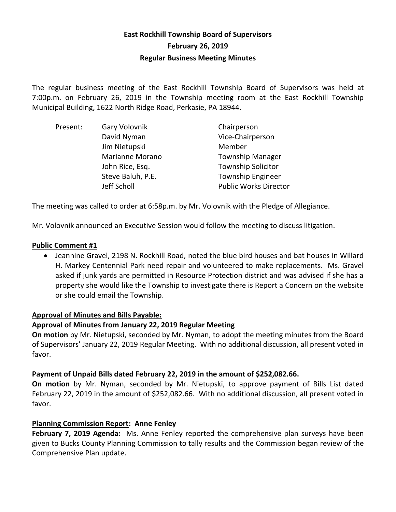# **East Rockhill Township Board of Supervisors February 26, 2019 Regular Business Meeting Minutes**

The regular business meeting of the East Rockhill Township Board of Supervisors was held at 7:00p.m. on February 26, 2019 in the Township meeting room at the East Rockhill Township Municipal Building, 1622 North Ridge Road, Perkasie, PA 18944.

| Present: | Gary Volovnik          | Chairperson                  |
|----------|------------------------|------------------------------|
|          | David Nyman            | Vice-Chairperson             |
|          | Jim Nietupski          | Member                       |
|          | <b>Marianne Morano</b> | <b>Township Manager</b>      |
|          | John Rice, Esq.        | <b>Township Solicitor</b>    |
|          | Steve Baluh, P.E.      | <b>Township Engineer</b>     |
|          | Jeff Scholl            | <b>Public Works Director</b> |

The meeting was called to order at 6:58p.m. by Mr. Volovnik with the Pledge of Allegiance.

Mr. Volovnik announced an Executive Session would follow the meeting to discuss litigation.

#### **Public Comment #1**

 Jeannine Gravel, 2198 N. Rockhill Road, noted the blue bird houses and bat houses in Willard H. Markey Centennial Park need repair and volunteered to make replacements. Ms. Gravel asked if junk yards are permitted in Resource Protection district and was advised if she has a property she would like the Township to investigate there is Report a Concern on the website or she could email the Township.

#### **Approval of Minutes and Bills Payable:**

### **Approval of Minutes from January 22, 2019 Regular Meeting**

**On motion** by Mr. Nietupski, seconded by Mr. Nyman, to adopt the meeting minutes from the Board of Supervisors' January 22, 2019 Regular Meeting. With no additional discussion, all present voted in favor.

### **Payment of Unpaid Bills dated February 22, 2019 in the amount of \$252,082.66.**

**On motion** by Mr. Nyman, seconded by Mr. Nietupski, to approve payment of Bills List dated February 22, 2019 in the amount of \$252,082.66. With no additional discussion, all present voted in favor.

### **Planning Commission Report: Anne Fenley**

**February 7, 2019 Agenda:** Ms. Anne Fenley reported the comprehensive plan surveys have been given to Bucks County Planning Commission to tally results and the Commission began review of the Comprehensive Plan update.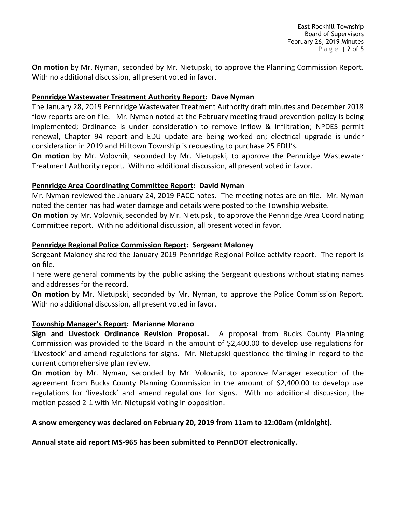**On motion** by Mr. Nyman, seconded by Mr. Nietupski, to approve the Planning Commission Report. With no additional discussion, all present voted in favor.

## **Pennridge Wastewater Treatment Authority Report: Dave Nyman**

The January 28, 2019 Pennridge Wastewater Treatment Authority draft minutes and December 2018 flow reports are on file. Mr. Nyman noted at the February meeting fraud prevention policy is being implemented; Ordinance is under consideration to remove Inflow & Infiltration; NPDES permit renewal, Chapter 94 report and EDU update are being worked on; electrical upgrade is under consideration in 2019 and Hilltown Township is requesting to purchase 25 EDU's.

**On motion** by Mr. Volovnik, seconded by Mr. Nietupski, to approve the Pennridge Wastewater Treatment Authority report. With no additional discussion, all present voted in favor.

## **Pennridge Area Coordinating Committee Report: David Nyman**

Mr. Nyman reviewed the January 24, 2019 PACC notes. The meeting notes are on file. Mr. Nyman noted the center has had water damage and details were posted to the Township website.

**On motion** by Mr. Volovnik, seconded by Mr. Nietupski, to approve the Pennridge Area Coordinating Committee report. With no additional discussion, all present voted in favor.

## **Pennridge Regional Police Commission Report: Sergeant Maloney**

Sergeant Maloney shared the January 2019 Pennridge Regional Police activity report. The report is on file.

There were general comments by the public asking the Sergeant questions without stating names and addresses for the record.

**On motion** by Mr. Nietupski, seconded by Mr. Nyman, to approve the Police Commission Report. With no additional discussion, all present voted in favor.

### **Township Manager's Report: Marianne Morano**

**Sign and Livestock Ordinance Revision Proposal.** A proposal from Bucks County Planning Commission was provided to the Board in the amount of \$2,400.00 to develop use regulations for 'Livestock' and amend regulations for signs. Mr. Nietupski questioned the timing in regard to the current comprehensive plan review.

**On motion** by Mr. Nyman, seconded by Mr. Volovnik, to approve Manager execution of the agreement from Bucks County Planning Commission in the amount of \$2,400.00 to develop use regulations for 'livestock' and amend regulations for signs. With no additional discussion, the motion passed 2-1 with Mr. Nietupski voting in opposition.

# **A snow emergency was declared on February 20, 2019 from 11am to 12:00am (midnight).**

**Annual state aid report MS-965 has been submitted to PennDOT electronically.**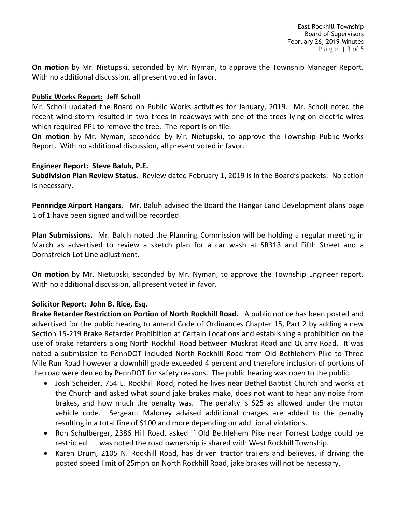**On motion** by Mr. Nietupski, seconded by Mr. Nyman, to approve the Township Manager Report. With no additional discussion, all present voted in favor.

#### **Public Works Report: Jeff Scholl**

Mr. Scholl updated the Board on Public Works activities for January, 2019. Mr. Scholl noted the recent wind storm resulted in two trees in roadways with one of the trees lying on electric wires which required PPL to remove the tree. The report is on file.

**On motion** by Mr. Nyman, seconded by Mr. Nietupski, to approve the Township Public Works Report. With no additional discussion, all present voted in favor.

#### **Engineer Report: Steve Baluh, P.E.**

**Subdivision Plan Review Status.** Review dated February 1, 2019 is in the Board's packets. No action is necessary.

**Pennridge Airport Hangars.** Mr. Baluh advised the Board the Hangar Land Development plans page 1 of 1 have been signed and will be recorded.

**Plan Submissions.** Mr. Baluh noted the Planning Commission will be holding a regular meeting in March as advertised to review a sketch plan for a car wash at SR313 and Fifth Street and a Dornstreich Lot Line adjustment.

**On motion** by Mr. Nietupski, seconded by Mr. Nyman, to approve the Township Engineer report. With no additional discussion, all present voted in favor.

### **Solicitor Report: John B. Rice, Esq.**

**Brake Retarder Restriction on Portion of North Rockhill Road.** A public notice has been posted and advertised for the public hearing to amend Code of Ordinances Chapter 15, Part 2 by adding a new Section 15-219 Brake Retarder Prohibition at Certain Locations and establishing a prohibition on the use of brake retarders along North Rockhill Road between Muskrat Road and Quarry Road. It was noted a submission to PennDOT included North Rockhill Road from Old Bethlehem Pike to Three Mile Run Road however a downhill grade exceeded 4 percent and therefore inclusion of portions of the road were denied by PennDOT for safety reasons. The public hearing was open to the public.

- Josh Scheider, 754 E. Rockhill Road, noted he lives near Bethel Baptist Church and works at the Church and asked what sound jake brakes make, does not want to hear any noise from brakes, and how much the penalty was. The penalty is \$25 as allowed under the motor vehicle code. Sergeant Maloney advised additional charges are added to the penalty resulting in a total fine of \$100 and more depending on additional violations.
- Ron Schulberger, 2386 Hill Road, asked if Old Bethlehem Pike near Forrest Lodge could be restricted. It was noted the road ownership is shared with West Rockhill Township.
- Karen Drum, 2105 N. Rockhill Road, has driven tractor trailers and believes, if driving the posted speed limit of 25mph on North Rockhill Road, jake brakes will not be necessary.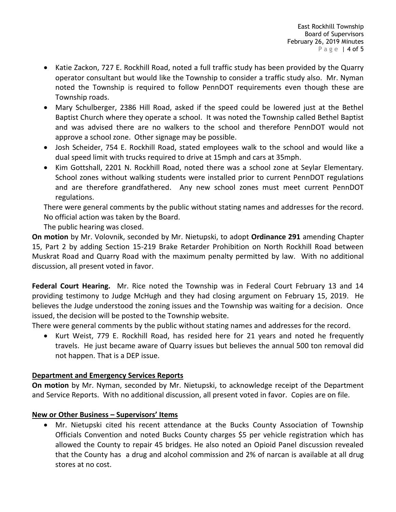- Katie Zackon, 727 E. Rockhill Road, noted a full traffic study has been provided by the Quarry operator consultant but would like the Township to consider a traffic study also. Mr. Nyman noted the Township is required to follow PennDOT requirements even though these are Township roads.
- Mary Schulberger, 2386 Hill Road, asked if the speed could be lowered just at the Bethel Baptist Church where they operate a school. It was noted the Township called Bethel Baptist and was advised there are no walkers to the school and therefore PennDOT would not approve a school zone. Other signage may be possible.
- Josh Scheider, 754 E. Rockhill Road, stated employees walk to the school and would like a dual speed limit with trucks required to drive at 15mph and cars at 35mph.
- Kim Gottshall, 2201 N. Rockhill Road, noted there was a school zone at Seylar Elementary. School zones without walking students were installed prior to current PennDOT regulations and are therefore grandfathered. Any new school zones must meet current PennDOT regulations.

There were general comments by the public without stating names and addresses for the record. No official action was taken by the Board.

The public hearing was closed.

**On motion** by Mr. Volovnik, seconded by Mr. Nietupski, to adopt **Ordinance 291** amending Chapter 15, Part 2 by adding Section 15-219 Brake Retarder Prohibition on North Rockhill Road between Muskrat Road and Quarry Road with the maximum penalty permitted by law. With no additional discussion, all present voted in favor.

**Federal Court Hearing.** Mr. Rice noted the Township was in Federal Court February 13 and 14 providing testimony to Judge McHugh and they had closing argument on February 15, 2019. He believes the Judge understood the zoning issues and the Township was waiting for a decision. Once issued, the decision will be posted to the Township website.

There were general comments by the public without stating names and addresses for the record.

 Kurt Weist, 779 E. Rockhill Road, has resided here for 21 years and noted he frequently travels. He just became aware of Quarry issues but believes the annual 500 ton removal did not happen. That is a DEP issue.

# **Department and Emergency Services Reports**

**On motion** by Mr. Nyman, seconded by Mr. Nietupski, to acknowledge receipt of the Department and Service Reports. With no additional discussion, all present voted in favor. Copies are on file.

# **New or Other Business – Supervisors' Items**

 Mr. Nietupski cited his recent attendance at the Bucks County Association of Township Officials Convention and noted Bucks County charges \$5 per vehicle registration which has allowed the County to repair 45 bridges. He also noted an Opioid Panel discussion revealed that the County has a drug and alcohol commission and 2% of narcan is available at all drug stores at no cost.